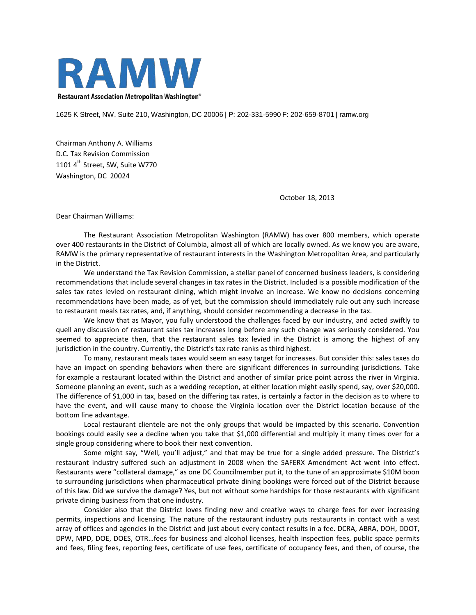

1625 K Street, NW, Suite 210, Washington, DC 20006 | P: 202-331-5990 F: 202-659-8701 | ramw.org

Chairman Anthony A. Williams D.C. Tax Revision Commission 1101  $4^{\text{th}}$  Street, SW, Suite W770 Washington, DC 20024

October 18, 2013

Dear Chairman Williams:

The Restaurant Association Metropolitan Washington (RAMW) has over 800 members, which operate over 400 restaurants in the District of Columbia, almost all of which are locally owned. As we know you are aware, RAMW is the primary representative of restaurant interests in the Washington Metropolitan Area, and particularly in the District.

We understand the Tax Revision Commission, a stellar panel of concerned business leaders, is considering recommendations that include several changes in tax rates in the District. Included is a possible modification of the sales tax rates levied on restaurant dining, which might involve an increase. We know no decisions concerning recommendations have been made, as of yet, but the commission should immediately rule out any such increase to restaurant meals tax rates, and, if anything, should consider recommending a decrease in the tax.

We know that as Mayor, you fully understood the challenges faced by our industry, and acted swiftly to quell any discussion of restaurant sales tax increases long before any such change was seriously considered. You seemed to appreciate then, that the restaurant sales tax levied in the District is among the highest of any jurisdiction in the country. Currently, the District's tax rate ranks as third highest.

To many, restaurant meals taxes would seem an easy target for increases. But consider this: sales taxes do have an impact on spending behaviors when there are significant differences in surrounding jurisdictions. Take for example a restaurant located within the District and another of similar price point across the river in Virginia. Someone planning an event, such as a wedding reception, at either location might easily spend, say, over \$20,000. The difference of \$1,000 in tax, based on the differing tax rates, is certainly a factor in the decision as to where to have the event, and will cause many to choose the Virginia location over the District location because of the bottom line advantage.

Local restaurant clientele are not the only groups that would be impacted by this scenario. Convention bookings could easily see a decline when you take that \$1,000 differential and multiply it many times over for a single group considering where to book their next convention.

Some might say, "Well, you'll adjust," and that may be true for a single added pressure. The District's restaurant industry suffered such an adjustment in 2008 when the SAFERX Amendment Act went into effect. Restaurants were "collateral damage," as one DC Councilmember put it, to the tune of an approximate \$10M boon to surrounding jurisdictions when pharmaceutical private dining bookings were forced out of the District because of this law. Did we survive the damage? Yes, but not without some hardships for those restaurants with significant private dining business from that one industry.

Consider also that the District loves finding new and creative ways to charge fees for ever increasing permits, inspections and licensing. The nature of the restaurant industry puts restaurants in contact with a vast array of offices and agencies in the District and just about every contact results in a fee. DCRA, ABRA, DOH, DDOT, DPW, MPD, DOE, DOES, OTR…fees for business and alcohol licenses, health inspection fees, public space permits and fees, filing fees, reporting fees, certificate of use fees, certificate of occupancy fees, and then, of course, the